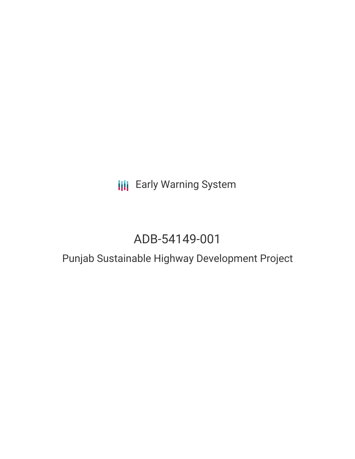# **III** Early Warning System

# ADB-54149-001

### Punjab Sustainable Highway Development Project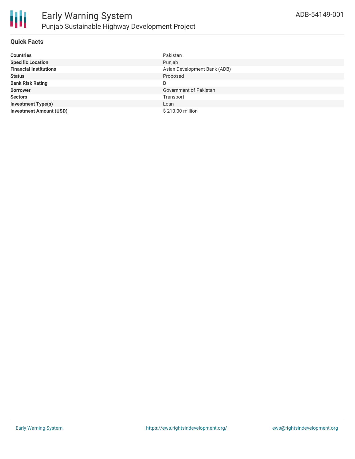

### **Quick Facts**

| <b>Countries</b>               | Pakistan                     |
|--------------------------------|------------------------------|
| <b>Specific Location</b>       | Punjab                       |
| <b>Financial Institutions</b>  | Asian Development Bank (ADB) |
| <b>Status</b>                  | Proposed                     |
| <b>Bank Risk Rating</b>        | B                            |
| <b>Borrower</b>                | Government of Pakistan       |
| <b>Sectors</b>                 | Transport                    |
| <b>Investment Type(s)</b>      | Loan                         |
| <b>Investment Amount (USD)</b> | \$210.00 million             |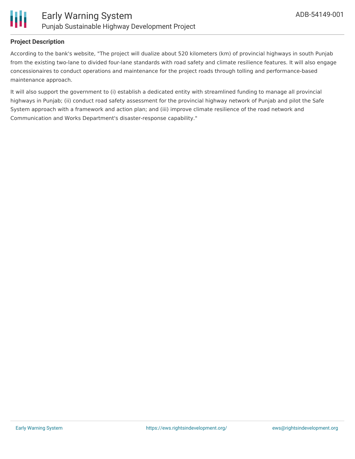

#### **Project Description**

According to the bank's website, "The project will dualize about 520 kilometers (km) of provincial highways in south Punjab from the existing two-lane to divided four-lane standards with road safety and climate resilience features. It will also engage concessionaires to conduct operations and maintenance for the project roads through tolling and performance-based maintenance approach.

It will also support the government to (i) establish a dedicated entity with streamlined funding to manage all provincial highways in Punjab; (ii) conduct road safety assessment for the provincial highway network of Punjab and pilot the Safe System approach with a framework and action plan; and (iii) improve climate resilience of the road network and Communication and Works Department's disaster-response capability."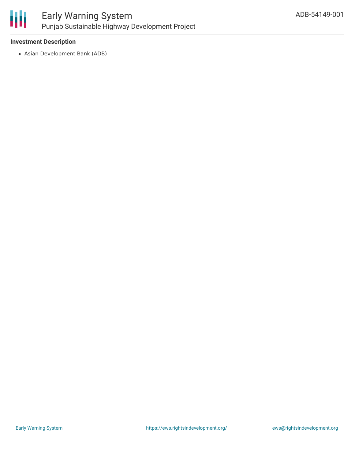

#### **Investment Description**

Asian Development Bank (ADB)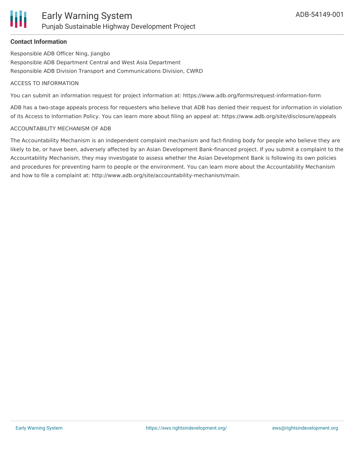### **Contact Information**

Responsible ADB Officer Ning, Jiangbo Responsible ADB Department Central and West Asia Department Responsible ADB Division Transport and Communications Division, CWRD

#### ACCESS TO INFORMATION

You can submit an information request for project information at: https://www.adb.org/forms/request-information-form

ADB has a two-stage appeals process for requesters who believe that ADB has denied their request for information in violation of its Access to Information Policy. You can learn more about filing an appeal at: https://www.adb.org/site/disclosure/appeals

#### ACCOUNTABILITY MECHANISM OF ADB

The Accountability Mechanism is an independent complaint mechanism and fact-finding body for people who believe they are likely to be, or have been, adversely affected by an Asian Development Bank-financed project. If you submit a complaint to the Accountability Mechanism, they may investigate to assess whether the Asian Development Bank is following its own policies and procedures for preventing harm to people or the environment. You can learn more about the Accountability Mechanism and how to file a complaint at: http://www.adb.org/site/accountability-mechanism/main.